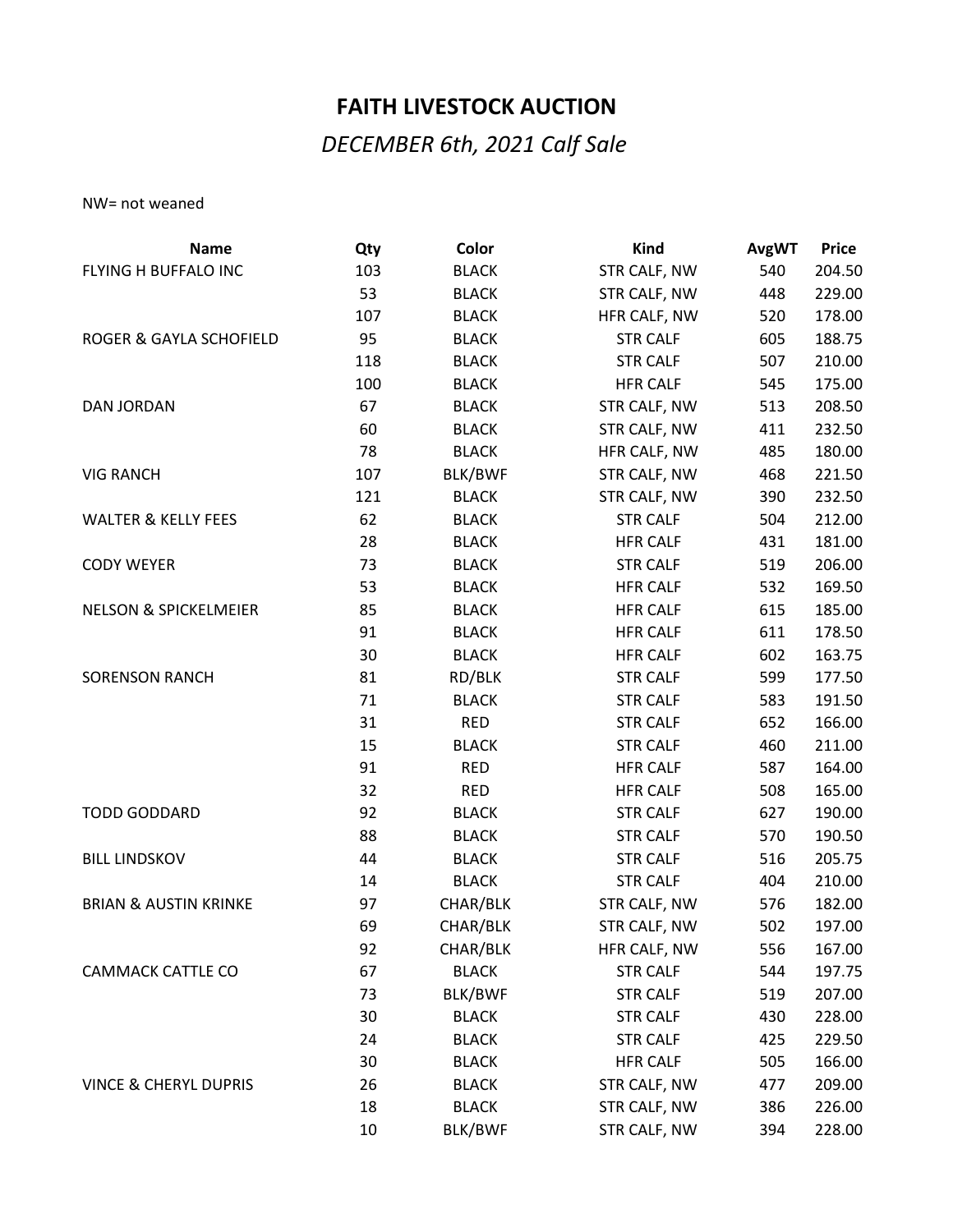## **FAITH LIVESTOCK AUCTION**

## *DECEMBER 6th, 2021 Calf Sale*

NW= not weaned

| <b>Name</b>                      | Qty | Color        | <b>Kind</b>     | <b>AvgWT</b> | <b>Price</b> |
|----------------------------------|-----|--------------|-----------------|--------------|--------------|
| FLYING H BUFFALO INC             | 103 | <b>BLACK</b> | STR CALF, NW    | 540          | 204.50       |
|                                  | 53  | <b>BLACK</b> | STR CALF, NW    | 448          | 229.00       |
|                                  | 107 | <b>BLACK</b> | HFR CALF, NW    | 520          | 178.00       |
| ROGER & GAYLA SCHOFIELD          | 95  | <b>BLACK</b> | <b>STR CALF</b> | 605          | 188.75       |
|                                  | 118 | <b>BLACK</b> | <b>STR CALF</b> | 507          | 210.00       |
|                                  | 100 | <b>BLACK</b> | <b>HFR CALF</b> | 545          | 175.00       |
| <b>DAN JORDAN</b>                | 67  | <b>BLACK</b> | STR CALF, NW    | 513          | 208.50       |
|                                  | 60  | <b>BLACK</b> | STR CALF, NW    | 411          | 232.50       |
|                                  | 78  | <b>BLACK</b> | HFR CALF, NW    | 485          | 180.00       |
| <b>VIG RANCH</b>                 | 107 | BLK/BWF      | STR CALF, NW    | 468          | 221.50       |
|                                  | 121 | <b>BLACK</b> | STR CALF, NW    | 390          | 232.50       |
| <b>WALTER &amp; KELLY FEES</b>   | 62  | <b>BLACK</b> | <b>STR CALF</b> | 504          | 212.00       |
|                                  | 28  | <b>BLACK</b> | <b>HFR CALF</b> | 431          | 181.00       |
| <b>CODY WEYER</b>                | 73  | <b>BLACK</b> | <b>STR CALF</b> | 519          | 206.00       |
|                                  | 53  | <b>BLACK</b> | <b>HFR CALF</b> | 532          | 169.50       |
| <b>NELSON &amp; SPICKELMEIER</b> | 85  | <b>BLACK</b> | <b>HFR CALF</b> | 615          | 185.00       |
|                                  | 91  | <b>BLACK</b> | <b>HFR CALF</b> | 611          | 178.50       |
|                                  | 30  | <b>BLACK</b> | <b>HFR CALF</b> | 602          | 163.75       |
| <b>SORENSON RANCH</b>            | 81  | RD/BLK       | <b>STR CALF</b> | 599          | 177.50       |
|                                  | 71  | <b>BLACK</b> | <b>STR CALF</b> | 583          | 191.50       |
|                                  | 31  | <b>RED</b>   | <b>STR CALF</b> | 652          | 166.00       |
|                                  | 15  | <b>BLACK</b> | <b>STR CALF</b> | 460          | 211.00       |
|                                  | 91  | <b>RED</b>   | <b>HFR CALF</b> | 587          | 164.00       |
|                                  | 32  | <b>RED</b>   | <b>HFR CALF</b> | 508          | 165.00       |
| <b>TODD GODDARD</b>              | 92  | <b>BLACK</b> | <b>STR CALF</b> | 627          | 190.00       |
|                                  | 88  | <b>BLACK</b> | <b>STR CALF</b> | 570          | 190.50       |
| <b>BILL LINDSKOV</b>             | 44  | <b>BLACK</b> | <b>STR CALF</b> | 516          | 205.75       |
|                                  | 14  | <b>BLACK</b> | <b>STR CALF</b> | 404          | 210.00       |
| <b>BRIAN &amp; AUSTIN KRINKE</b> | 97  | CHAR/BLK     | STR CALF, NW    | 576          | 182.00       |
|                                  | 69  | CHAR/BLK     | STR CALF, NW    | 502          | 197.00       |
|                                  | 92  | CHAR/BLK     | HFR CALF, NW    | 556          | 167.00       |
| CAMMACK CATTLE CO                | 67  | <b>BLACK</b> | <b>STR CALF</b> | 544          | 197.75       |
|                                  | 73  | BLK/BWF      | <b>STR CALF</b> | 519          | 207.00       |
|                                  | 30  | <b>BLACK</b> | <b>STR CALF</b> | 430          | 228.00       |
|                                  | 24  | <b>BLACK</b> | <b>STR CALF</b> | 425          | 229.50       |
|                                  | 30  | <b>BLACK</b> | <b>HFR CALF</b> | 505          | 166.00       |
| <b>VINCE &amp; CHERYL DUPRIS</b> | 26  | <b>BLACK</b> | STR CALF, NW    | 477          | 209.00       |
|                                  | 18  | <b>BLACK</b> | STR CALF, NW    | 386          | 226.00       |
|                                  | 10  | BLK/BWF      | STR CALF, NW    | 394          | 228.00       |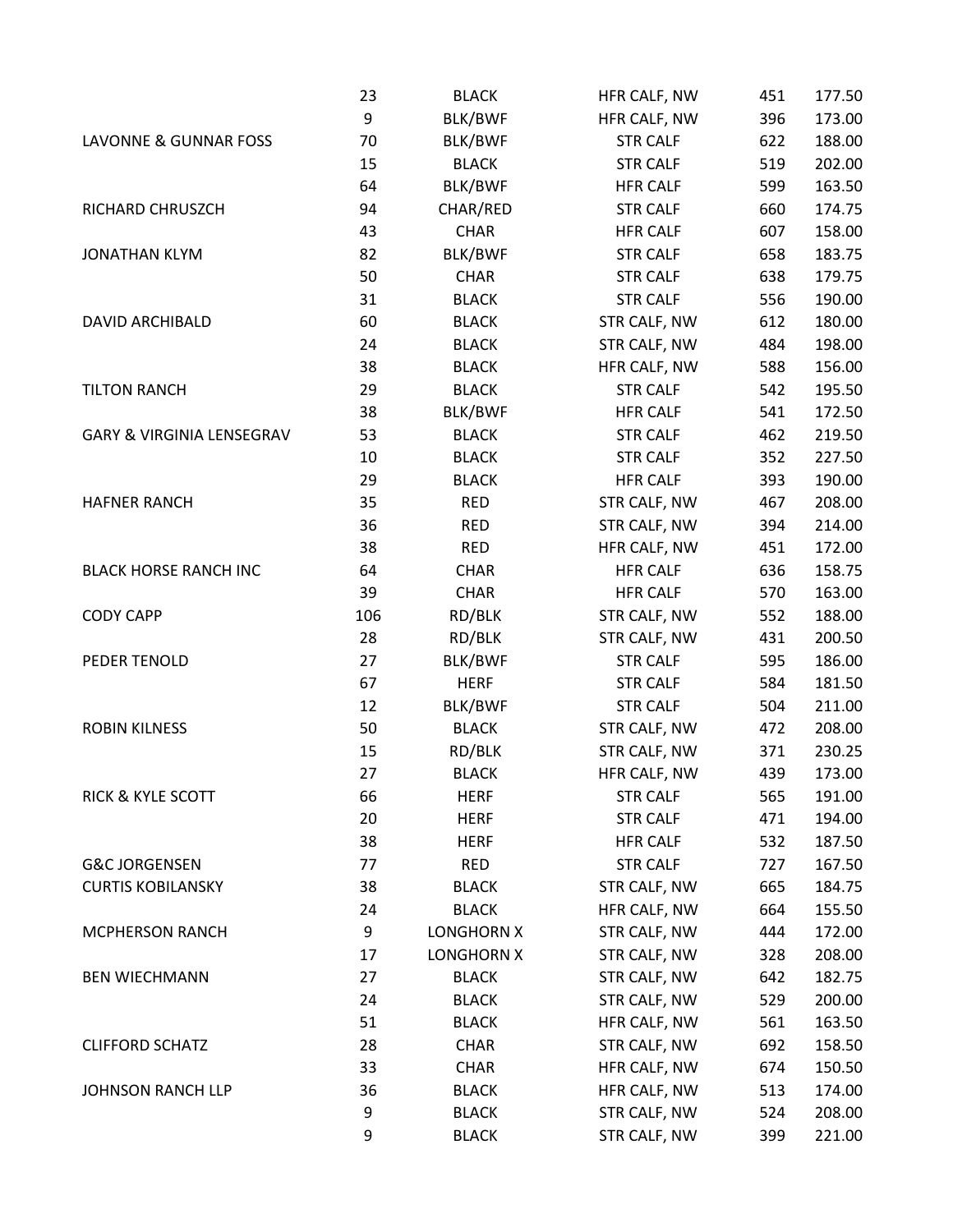|                              | 23  | <b>BLACK</b>      | HFR CALF, NW    | 451 | 177.50 |
|------------------------------|-----|-------------------|-----------------|-----|--------|
|                              | 9   | BLK/BWF           | HFR CALF, NW    | 396 | 173.00 |
| LAVONNE & GUNNAR FOSS        | 70  | BLK/BWF           | <b>STR CALF</b> | 622 | 188.00 |
|                              | 15  | <b>BLACK</b>      | <b>STR CALF</b> | 519 | 202.00 |
|                              | 64  | BLK/BWF           | <b>HFR CALF</b> | 599 | 163.50 |
| RICHARD CHRUSZCH             | 94  | CHAR/RED          | <b>STR CALF</b> | 660 | 174.75 |
|                              | 43  | <b>CHAR</b>       | <b>HFR CALF</b> | 607 | 158.00 |
| <b>JONATHAN KLYM</b>         | 82  | BLK/BWF           | <b>STR CALF</b> | 658 | 183.75 |
|                              | 50  | <b>CHAR</b>       | <b>STR CALF</b> | 638 | 179.75 |
|                              | 31  | <b>BLACK</b>      | <b>STR CALF</b> | 556 | 190.00 |
| <b>DAVID ARCHIBALD</b>       | 60  | <b>BLACK</b>      | STR CALF, NW    | 612 | 180.00 |
|                              | 24  | <b>BLACK</b>      | STR CALF, NW    | 484 | 198.00 |
|                              | 38  | <b>BLACK</b>      | HFR CALF, NW    | 588 | 156.00 |
| <b>TILTON RANCH</b>          | 29  | <b>BLACK</b>      | <b>STR CALF</b> | 542 | 195.50 |
|                              | 38  | BLK/BWF           | <b>HFR CALF</b> | 541 | 172.50 |
| GARY & VIRGINIA LENSEGRAV    | 53  | <b>BLACK</b>      | <b>STR CALF</b> | 462 | 219.50 |
|                              | 10  | <b>BLACK</b>      | <b>STR CALF</b> | 352 | 227.50 |
|                              | 29  | <b>BLACK</b>      | <b>HFR CALF</b> | 393 | 190.00 |
| <b>HAFNER RANCH</b>          | 35  | <b>RED</b>        | STR CALF, NW    | 467 | 208.00 |
|                              | 36  | <b>RED</b>        | STR CALF, NW    | 394 | 214.00 |
|                              | 38  | <b>RED</b>        | HFR CALF, NW    | 451 | 172.00 |
| <b>BLACK HORSE RANCH INC</b> | 64  | <b>CHAR</b>       | <b>HFR CALF</b> | 636 | 158.75 |
|                              | 39  | <b>CHAR</b>       | <b>HFR CALF</b> | 570 | 163.00 |
| <b>CODY CAPP</b>             | 106 | RD/BLK            | STR CALF, NW    | 552 | 188.00 |
|                              | 28  | RD/BLK            | STR CALF, NW    | 431 | 200.50 |
| PEDER TENOLD                 | 27  | BLK/BWF           | <b>STR CALF</b> | 595 | 186.00 |
|                              | 67  | <b>HERF</b>       | <b>STR CALF</b> | 584 | 181.50 |
|                              | 12  | BLK/BWF           | <b>STR CALF</b> | 504 | 211.00 |
| <b>ROBIN KILNESS</b>         | 50  | <b>BLACK</b>      | STR CALF, NW    | 472 | 208.00 |
|                              | 15  | RD/BLK            | STR CALF, NW    | 371 | 230.25 |
|                              | 27  | <b>BLACK</b>      | HFR CALF, NW    | 439 | 173.00 |
| RICK & KYLE SCOTT            | 66  | <b>HERF</b>       | <b>STR CALF</b> | 565 | 191.00 |
|                              | 20  | <b>HERF</b>       | <b>STR CALF</b> | 471 | 194.00 |
|                              | 38  | <b>HERF</b>       | <b>HFR CALF</b> | 532 | 187.50 |
| <b>G&amp;C JORGENSEN</b>     | 77  | <b>RED</b>        | <b>STR CALF</b> | 727 | 167.50 |
| <b>CURTIS KOBILANSKY</b>     | 38  | <b>BLACK</b>      | STR CALF, NW    | 665 | 184.75 |
|                              | 24  | <b>BLACK</b>      | HFR CALF, NW    | 664 | 155.50 |
| <b>MCPHERSON RANCH</b>       | 9   | <b>LONGHORN X</b> | STR CALF, NW    | 444 | 172.00 |
|                              | 17  | LONGHORN X        | STR CALF, NW    | 328 | 208.00 |
| <b>BEN WIECHMANN</b>         | 27  | <b>BLACK</b>      | STR CALF, NW    | 642 | 182.75 |
|                              | 24  | <b>BLACK</b>      | STR CALF, NW    | 529 | 200.00 |
|                              | 51  | <b>BLACK</b>      | HFR CALF, NW    | 561 | 163.50 |
| <b>CLIFFORD SCHATZ</b>       | 28  | <b>CHAR</b>       | STR CALF, NW    | 692 | 158.50 |
|                              | 33  | <b>CHAR</b>       | HFR CALF, NW    | 674 | 150.50 |
| <b>JOHNSON RANCH LLP</b>     | 36  | <b>BLACK</b>      | HFR CALF, NW    | 513 | 174.00 |
|                              | 9   | <b>BLACK</b>      | STR CALF, NW    | 524 | 208.00 |
|                              | 9   | <b>BLACK</b>      | STR CALF, NW    | 399 | 221.00 |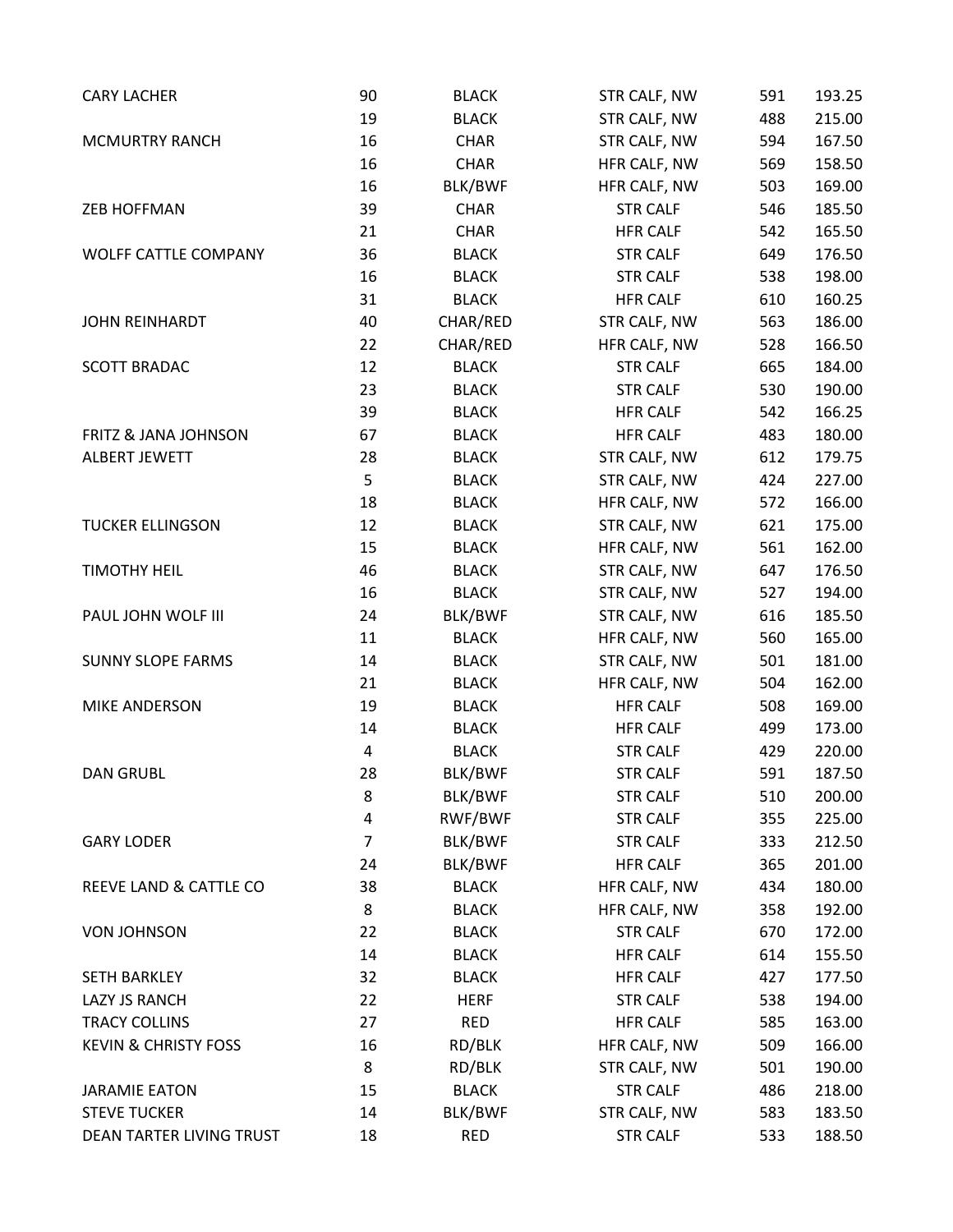| <b>CARY LACHER</b>              | 90             | <b>BLACK</b> | STR CALF, NW    | 591 | 193.25 |
|---------------------------------|----------------|--------------|-----------------|-----|--------|
|                                 | 19             | <b>BLACK</b> | STR CALF, NW    | 488 | 215.00 |
| <b>MCMURTRY RANCH</b>           | 16             | <b>CHAR</b>  | STR CALF, NW    | 594 | 167.50 |
|                                 | 16             | <b>CHAR</b>  | HFR CALF, NW    | 569 | 158.50 |
|                                 | 16             | BLK/BWF      | HFR CALF, NW    | 503 | 169.00 |
| <b>ZEB HOFFMAN</b>              | 39             | <b>CHAR</b>  | <b>STR CALF</b> | 546 | 185.50 |
|                                 | 21             | <b>CHAR</b>  | <b>HFR CALF</b> | 542 | 165.50 |
| <b>WOLFF CATTLE COMPANY</b>     | 36             | <b>BLACK</b> | <b>STR CALF</b> | 649 | 176.50 |
|                                 | 16             | <b>BLACK</b> | <b>STR CALF</b> | 538 | 198.00 |
|                                 | 31             | <b>BLACK</b> | <b>HFR CALF</b> | 610 | 160.25 |
| JOHN REINHARDT                  | 40             | CHAR/RED     | STR CALF, NW    | 563 | 186.00 |
|                                 | 22             | CHAR/RED     | HFR CALF, NW    | 528 | 166.50 |
| <b>SCOTT BRADAC</b>             | 12             | <b>BLACK</b> | <b>STR CALF</b> | 665 | 184.00 |
|                                 | 23             | <b>BLACK</b> | <b>STR CALF</b> | 530 | 190.00 |
|                                 | 39             | <b>BLACK</b> | <b>HFR CALF</b> | 542 | 166.25 |
| <b>FRITZ &amp; JANA JOHNSON</b> | 67             | <b>BLACK</b> | <b>HFR CALF</b> | 483 | 180.00 |
| <b>ALBERT JEWETT</b>            | 28             | <b>BLACK</b> | STR CALF, NW    | 612 | 179.75 |
|                                 | 5              | <b>BLACK</b> | STR CALF, NW    | 424 | 227.00 |
|                                 | 18             | <b>BLACK</b> | HFR CALF, NW    | 572 | 166.00 |
| <b>TUCKER ELLINGSON</b>         | 12             | <b>BLACK</b> | STR CALF, NW    | 621 | 175.00 |
|                                 | 15             | <b>BLACK</b> | HFR CALF, NW    | 561 | 162.00 |
| <b>TIMOTHY HEIL</b>             | 46             | <b>BLACK</b> | STR CALF, NW    | 647 | 176.50 |
|                                 | 16             | <b>BLACK</b> | STR CALF, NW    | 527 | 194.00 |
| PAUL JOHN WOLF III              | 24             | BLK/BWF      | STR CALF, NW    | 616 | 185.50 |
|                                 | 11             | <b>BLACK</b> | HFR CALF, NW    | 560 | 165.00 |
| <b>SUNNY SLOPE FARMS</b>        | 14             | <b>BLACK</b> | STR CALF, NW    | 501 | 181.00 |
|                                 | 21             | <b>BLACK</b> | HFR CALF, NW    | 504 | 162.00 |
| <b>MIKE ANDERSON</b>            | 19             | <b>BLACK</b> | <b>HFR CALF</b> | 508 | 169.00 |
|                                 | 14             | <b>BLACK</b> | <b>HFR CALF</b> | 499 | 173.00 |
|                                 | $\overline{4}$ | <b>BLACK</b> | <b>STR CALF</b> | 429 | 220.00 |
| <b>DAN GRUBL</b>                | 28             | BLK/BWF      | <b>STR CALF</b> | 591 | 187.50 |
|                                 | 8              | BLK/BWF      | <b>STR CALF</b> | 510 | 200.00 |
|                                 | 4              | RWF/BWF      | <b>STR CALF</b> | 355 | 225.00 |
| <b>GARY LODER</b>               | $\overline{7}$ | BLK/BWF      | <b>STR CALF</b> | 333 | 212.50 |
|                                 | 24             | BLK/BWF      | <b>HFR CALF</b> | 365 | 201.00 |
| REEVE LAND & CATTLE CO          | 38             | <b>BLACK</b> | HFR CALF, NW    | 434 | 180.00 |
|                                 | 8              | <b>BLACK</b> | HFR CALF, NW    | 358 | 192.00 |
| <b>VON JOHNSON</b>              | 22             | <b>BLACK</b> | <b>STR CALF</b> | 670 | 172.00 |
|                                 | 14             | <b>BLACK</b> | <b>HFR CALF</b> | 614 | 155.50 |
| <b>SETH BARKLEY</b>             | 32             | <b>BLACK</b> | <b>HFR CALF</b> | 427 | 177.50 |
| <b>LAZY JS RANCH</b>            | 22             | <b>HERF</b>  | <b>STR CALF</b> | 538 | 194.00 |
| <b>TRACY COLLINS</b>            | 27             | <b>RED</b>   | <b>HFR CALF</b> | 585 | 163.00 |
| <b>KEVIN &amp; CHRISTY FOSS</b> | 16             | RD/BLK       | HFR CALF, NW    | 509 | 166.00 |
|                                 | 8              | RD/BLK       | STR CALF, NW    | 501 | 190.00 |
| <b>JARAMIE EATON</b>            | 15             | <b>BLACK</b> | <b>STR CALF</b> | 486 | 218.00 |
| <b>STEVE TUCKER</b>             | 14             |              |                 |     | 183.50 |
|                                 |                | BLK/BWF      | STR CALF, NW    | 583 |        |
| DEAN TARTER LIVING TRUST        | 18             | <b>RED</b>   | <b>STR CALF</b> | 533 | 188.50 |